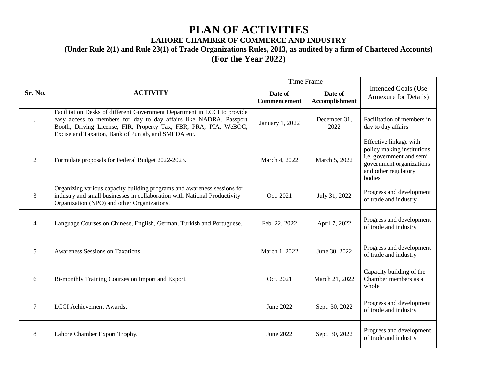## **PLAN OF ACTIVITIES**

## **LAHORE CHAMBER OF COMMERCE AND INDUSTRY**

**(Under Rule 2(1) and Rule 23(1) of Trade Organizations Rules, 2013, as audited by a firm of Chartered Accounts)**

**(For the Year 2022)**

| Sr. No.                  | <b>ACTIVITY</b>                                                                                                                                                                                                                                                           | <b>Time Frame</b>       |                                  |                                                                                                                                                |
|--------------------------|---------------------------------------------------------------------------------------------------------------------------------------------------------------------------------------------------------------------------------------------------------------------------|-------------------------|----------------------------------|------------------------------------------------------------------------------------------------------------------------------------------------|
|                          |                                                                                                                                                                                                                                                                           | Date of<br>Commencement | Date of<br><b>Accomplishment</b> | <b>Intended Goals (Use</b><br><b>Annexure for Details)</b>                                                                                     |
| 1                        | Facilitation Desks of different Government Department in LCCI to provide<br>easy access to members for day to day affairs like NADRA, Passport<br>Booth, Driving License, FIR, Property Tax, FBR, PRA, PIA, WeBOC,<br>Excise and Taxation, Bank of Punjab, and SMEDA etc. | January 1, 2022         | December 31,<br>2022             | Facilitation of members in<br>day to day affairs                                                                                               |
| 2                        | Formulate proposals for Federal Budget 2022-2023.                                                                                                                                                                                                                         | March 4, 2022           | March 5, 2022                    | Effective linkage with<br>policy making institutions<br>i.e. government and semi<br>government organizations<br>and other regulatory<br>bodies |
| 3                        | Organizing various capacity building programs and awareness sessions for<br>industry and small businesses in collaboration with National Productivity<br>Organization (NPO) and other Organizations.                                                                      | Oct. 2021               | July 31, 2022                    | Progress and development<br>of trade and industry                                                                                              |
| $\overline{\mathcal{A}}$ | Language Courses on Chinese, English, German, Turkish and Portuguese.                                                                                                                                                                                                     | Feb. 22, 2022           | April 7, 2022                    | Progress and development<br>of trade and industry                                                                                              |
| 5                        | Awareness Sessions on Taxations.                                                                                                                                                                                                                                          | March 1, 2022           | June 30, 2022                    | Progress and development<br>of trade and industry                                                                                              |
| 6                        | Bi-monthly Training Courses on Import and Export.                                                                                                                                                                                                                         | Oct. 2021               | March 21, 2022                   | Capacity building of the<br>Chamber members as a<br>whole                                                                                      |
| 7                        | LCCI Achievement Awards.                                                                                                                                                                                                                                                  | June 2022               | Sept. 30, 2022                   | Progress and development<br>of trade and industry                                                                                              |
| 8                        | Lahore Chamber Export Trophy.                                                                                                                                                                                                                                             | June 2022               | Sept. 30, 2022                   | Progress and development<br>of trade and industry                                                                                              |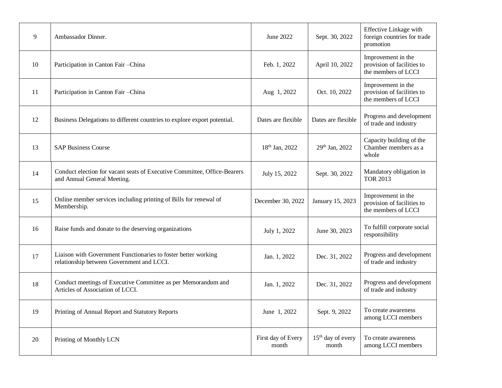| 9  | Ambassador Dinner.                                                                                          | June 2022                   | Sept. 30, 2022               | Effective Linkage with<br>foreign countries for trade<br>promotion      |
|----|-------------------------------------------------------------------------------------------------------------|-----------------------------|------------------------------|-------------------------------------------------------------------------|
| 10 | Participation in Canton Fair - China                                                                        | Feb. 1, 2022                | April 10, 2022               | Improvement in the<br>provision of facilities to<br>the members of LCCI |
| 11 | Participation in Canton Fair - China                                                                        | Aug 1, 2022                 | Oct. 10, 2022                | Improvement in the<br>provision of facilities to<br>the members of LCCI |
| 12 | Business Delegations to different countries to explore export potential.                                    | Dates are flexible          | Dates are flexible           | Progress and development<br>of trade and industry                       |
| 13 | <b>SAP Business Course</b>                                                                                  | 18 <sup>th</sup> Jan, 2022  | 29th Jan, 2022               | Capacity building of the<br>Chamber members as a<br>whole               |
| 14 | Conduct election for vacant seats of Executive Committee, Office-Bearers<br>and Annual General Meeting.     | July 15, 2022               | Sept. 30, 2022               | Mandatory obligation in<br><b>TOR 2013</b>                              |
| 15 | Online member services including printing of Bills for renewal of<br>Membership.                            | December 30, 2022           | January 15, 2023             | Improvement in the<br>provision of facilities to<br>the members of LCCI |
| 16 | Raise funds and donate to the deserving organizations                                                       | July 1, 2022                | June 30, 2023                | To fulfill corporate social<br>responsibility                           |
| 17 | Liaison with Government Functionaries to foster better working<br>relationship between Government and LCCI. | Jan. 1, 2022                | Dec. 31, 2022                | Progress and development<br>of trade and industry                       |
| 18 | Conduct meetings of Executive Committee as per Memorandum and<br>Articles of Association of LCCI.           | Jan. 1, 2022                | Dec. 31, 2022                | Progress and development<br>of trade and industry                       |
| 19 | Printing of Annual Report and Statutory Reports                                                             | June 1, 2022                | Sept. 9, 2022                | To create awareness<br>among LCCI members                               |
| 20 | Printing of Monthly LCN                                                                                     | First day of Every<br>month | $15th$ day of every<br>month | To create awareness<br>among LCCI members                               |